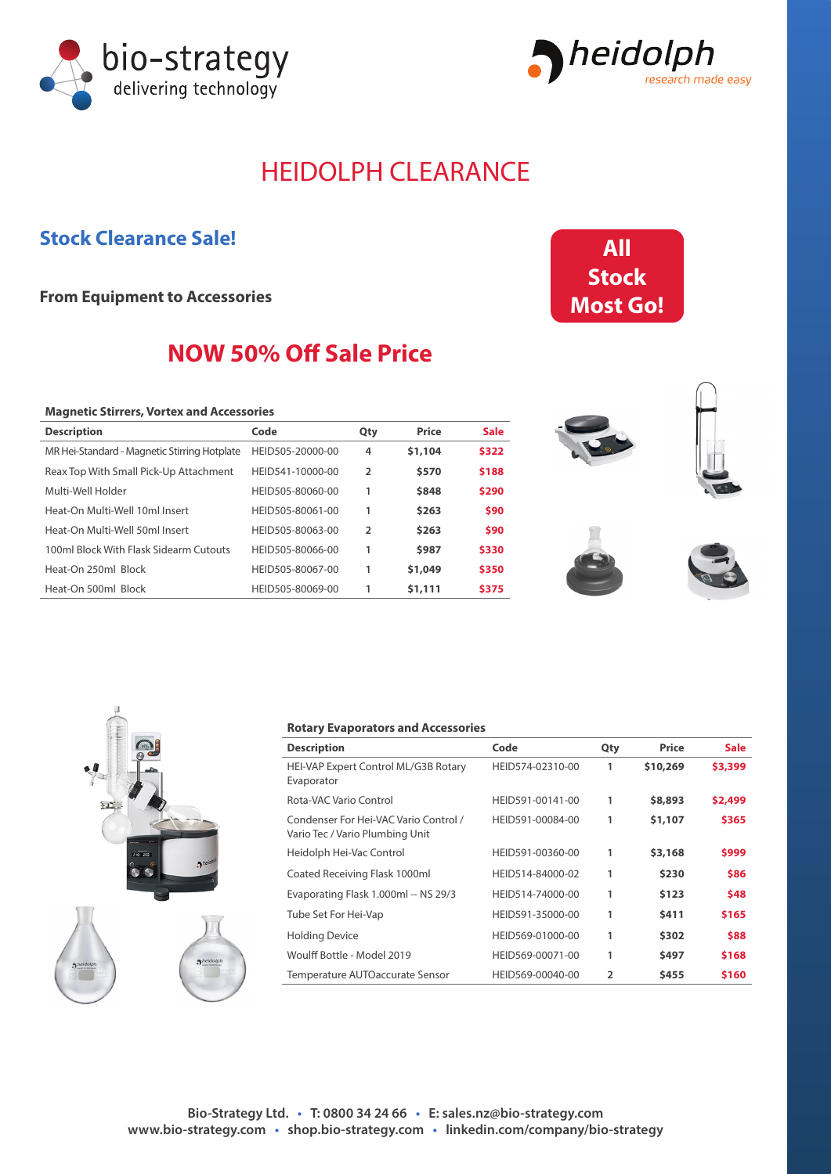



# HEIDOLPH CLEARANCE

### **Stock Clearance Sale!**

**From Equipment to Accessories**

## **NOW 50% Off Sale Price**

#### **Magnetic Stirrers, Vortex and Accessories**

| <b>Description</b>                           | Code             | Qty | Price   | <b>Sale</b> |
|----------------------------------------------|------------------|-----|---------|-------------|
| MR Hei-Standard - Magnetic Stirring Hotplate | HEID505-20000-00 | 4   | \$1,104 | \$322       |
| Reax Top With Small Pick-Up Attachment       | HEID541-10000-00 | 2   | \$570   | \$188       |
| Multi-Well Holder                            | HEID505-80060-00 | 1   | \$848   | \$290       |
| Heat-On Multi-Well 10ml Insert               | HEID505-80061-00 | 1   | \$263   | \$90        |
| Heat-On Multi-Well 50ml Insert               | HEID505-80063-00 | 2   | \$263   | \$90        |
| 100ml Block With Flask Sidearm Cutouts       | HEID505-80066-00 | 1   | \$987   | \$330       |
| Heat-On 250ml Block                          | HEID505-80067-00 | 1   | \$1,049 | \$350       |
| Heat-On 500ml Block                          | HEID505-80069-00 | 1   | \$1,111 | \$375       |









#### **Rotary Evaporators and Accessories**

| <b>Description</b>                                                       | Code             | Qty            | Price    | <b>Sale</b> |
|--------------------------------------------------------------------------|------------------|----------------|----------|-------------|
| HEI-VAP Expert Control ML/G3B Rotary<br>Evaporator                       | HEID574-02310-00 | 1              | \$10,269 | \$3,399     |
| Rota-VAC Vario Control                                                   | HEID591-00141-00 | 1              | \$8,893  | \$2,499     |
| Condenser For Hei-VAC Vario Control /<br>Vario Tec / Vario Plumbing Unit | HEID591-00084-00 | 1              | \$1,107  | \$365       |
| Heidolph Hei-Vac Control                                                 | HEID591-00360-00 | 1              | \$3,168  | \$999       |
| Coated Receiving Flask 1000ml                                            | HEID514-84000-02 | 1              | \$230    | \$86        |
| Evaporating Flask 1.000ml -- NS 29/3                                     | HEID514-74000-00 | 1              | \$123    | \$48        |
| Tube Set For Hei-Vap                                                     | HEID591-35000-00 | 1              | \$411    | \$165       |
| <b>Holding Device</b>                                                    | HEID569-01000-00 | 1              | \$302    | \$88        |
| Woulff Bottle - Model 2019                                               | HEID569-00071-00 | 1              | \$497    | \$168       |
| Temperature AUTOaccurate Sensor                                          | HEID569-00040-00 | $\mathfrak{p}$ | \$455    | \$160       |